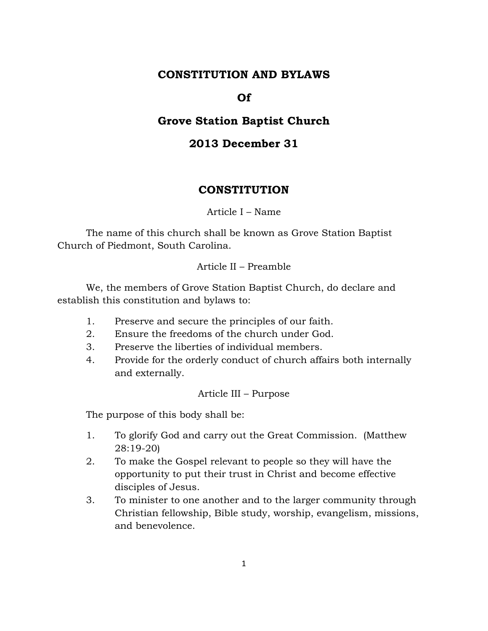## **CONSTITUTION AND BYLAWS**

### **Of**

# **Grove Station Baptist Church**

# **2013 December 31**

### **CONSTITUTION**

### Article I – Name

The name of this church shall be known as Grove Station Baptist Church of Piedmont, South Carolina.

#### Article II – Preamble

We, the members of Grove Station Baptist Church, do declare and establish this constitution and bylaws to:

- 1. Preserve and secure the principles of our faith.
- 2. Ensure the freedoms of the church under God.
- 3. Preserve the liberties of individual members.
- 4. Provide for the orderly conduct of church affairs both internally and externally.

#### Article III – Purpose

The purpose of this body shall be:

- 1. To glorify God and carry out the Great Commission. (Matthew 28:19-20)
- 2. To make the Gospel relevant to people so they will have the opportunity to put their trust in Christ and become effective disciples of Jesus.
- 3. To minister to one another and to the larger community through Christian fellowship, Bible study, worship, evangelism, missions, and benevolence.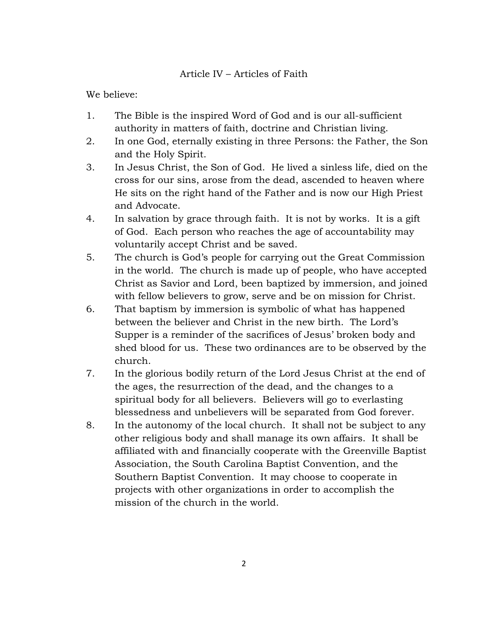## Article IV – Articles of Faith

We believe:

- 1. The Bible is the inspired Word of God and is our all-sufficient authority in matters of faith, doctrine and Christian living.
- 2. In one God, eternally existing in three Persons: the Father, the Son and the Holy Spirit.
- 3. In Jesus Christ, the Son of God. He lived a sinless life, died on the cross for our sins, arose from the dead, ascended to heaven where He sits on the right hand of the Father and is now our High Priest and Advocate.
- 4. In salvation by grace through faith. It is not by works. It is a gift of God. Each person who reaches the age of accountability may voluntarily accept Christ and be saved.
- 5. The church is God's people for carrying out the Great Commission in the world. The church is made up of people, who have accepted Christ as Savior and Lord, been baptized by immersion, and joined with fellow believers to grow, serve and be on mission for Christ.
- 6. That baptism by immersion is symbolic of what has happened between the believer and Christ in the new birth. The Lord's Supper is a reminder of the sacrifices of Jesus' broken body and shed blood for us. These two ordinances are to be observed by the church.
- 7. In the glorious bodily return of the Lord Jesus Christ at the end of the ages, the resurrection of the dead, and the changes to a spiritual body for all believers. Believers will go to everlasting blessedness and unbelievers will be separated from God forever.
- 8. In the autonomy of the local church. It shall not be subject to any other religious body and shall manage its own affairs. It shall be affiliated with and financially cooperate with the Greenville Baptist Association, the South Carolina Baptist Convention, and the Southern Baptist Convention. It may choose to cooperate in projects with other organizations in order to accomplish the mission of the church in the world.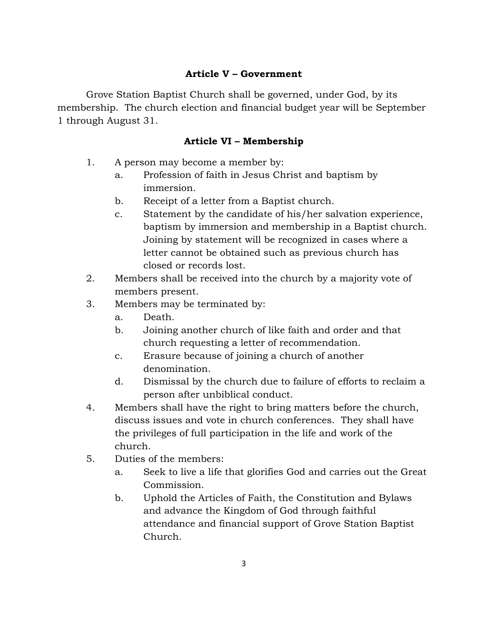## **Article V – Government**

Grove Station Baptist Church shall be governed, under God, by its membership. The church election and financial budget year will be September 1 through August 31.

## **Article VI – Membership**

- 1. A person may become a member by:
	- a. Profession of faith in Jesus Christ and baptism by immersion.
	- b. Receipt of a letter from a Baptist church.
	- c. Statement by the candidate of his/her salvation experience, baptism by immersion and membership in a Baptist church. Joining by statement will be recognized in cases where a letter cannot be obtained such as previous church has closed or records lost.
- 2. Members shall be received into the church by a majority vote of members present.
- 3. Members may be terminated by:
	- a. Death.
	- b. Joining another church of like faith and order and that church requesting a letter of recommendation.
	- c. Erasure because of joining a church of another denomination.
	- d. Dismissal by the church due to failure of efforts to reclaim a person after unbiblical conduct.
- 4. Members shall have the right to bring matters before the church, discuss issues and vote in church conferences. They shall have the privileges of full participation in the life and work of the church.
- 5. Duties of the members:
	- a. Seek to live a life that glorifies God and carries out the Great Commission.
	- b. Uphold the Articles of Faith, the Constitution and Bylaws and advance the Kingdom of God through faithful attendance and financial support of Grove Station Baptist Church.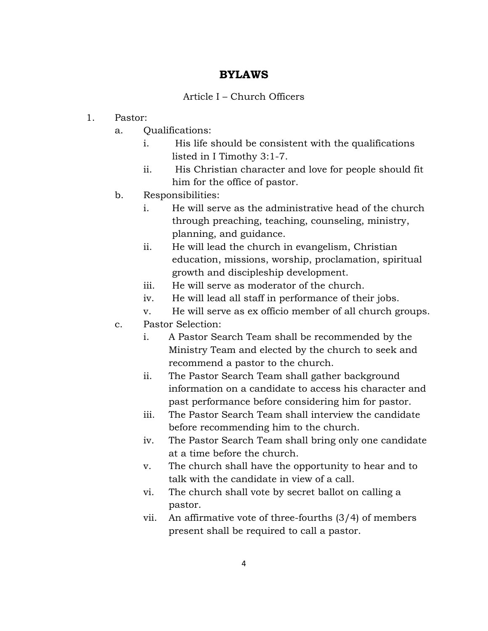## **BYLAWS**

### Article I – Church Officers

- 1. Pastor:
	- a. Qualifications:
		- i. His life should be consistent with the qualifications listed in I Timothy 3:1-7.
		- ii. His Christian character and love for people should fit him for the office of pastor.
	- b. Responsibilities:
		- i. He will serve as the administrative head of the church through preaching, teaching, counseling, ministry, planning, and guidance.
		- ii. He will lead the church in evangelism, Christian education, missions, worship, proclamation, spiritual growth and discipleship development.
		- iii. He will serve as moderator of the church.
		- iv. He will lead all staff in performance of their jobs.
		- v. He will serve as ex officio member of all church groups.
	- c. Pastor Selection:
		- i. A Pastor Search Team shall be recommended by the Ministry Team and elected by the church to seek and recommend a pastor to the church.
		- ii. The Pastor Search Team shall gather background information on a candidate to access his character and past performance before considering him for pastor.
		- iii. The Pastor Search Team shall interview the candidate before recommending him to the church.
		- iv. The Pastor Search Team shall bring only one candidate at a time before the church.
		- v. The church shall have the opportunity to hear and to talk with the candidate in view of a call.
		- vi. The church shall vote by secret ballot on calling a pastor.
		- vii. An affirmative vote of three-fourths (3/4) of members present shall be required to call a pastor.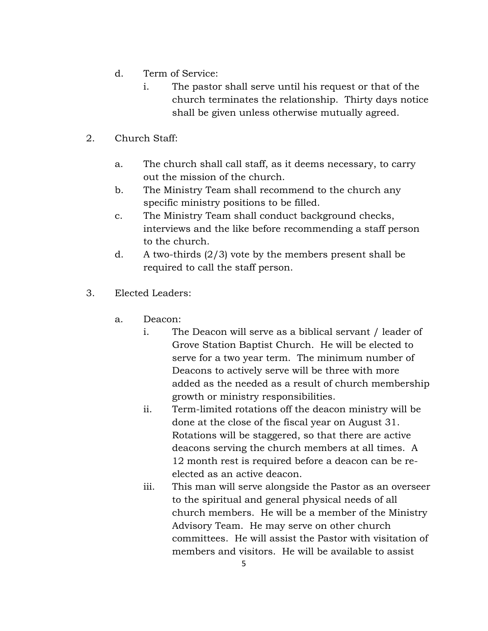- d. Term of Service:
	- i. The pastor shall serve until his request or that of the church terminates the relationship. Thirty days notice shall be given unless otherwise mutually agreed.
- 2. Church Staff:
	- a. The church shall call staff, as it deems necessary, to carry out the mission of the church.
	- b. The Ministry Team shall recommend to the church any specific ministry positions to be filled.
	- c. The Ministry Team shall conduct background checks, interviews and the like before recommending a staff person to the church.
	- d. A two-thirds  $(2/3)$  vote by the members present shall be required to call the staff person.
- 3. Elected Leaders:
	- a. Deacon:
		- i. The Deacon will serve as a biblical servant / leader of Grove Station Baptist Church. He will be elected to serve for a two year term. The minimum number of Deacons to actively serve will be three with more added as the needed as a result of church membership growth or ministry responsibilities.
		- ii. Term-limited rotations off the deacon ministry will be done at the close of the fiscal year on August 31. Rotations will be staggered, so that there are active deacons serving the church members at all times. A 12 month rest is required before a deacon can be reelected as an active deacon.
		- iii. This man will serve alongside the Pastor as an overseer to the spiritual and general physical needs of all church members. He will be a member of the Ministry Advisory Team. He may serve on other church committees. He will assist the Pastor with visitation of members and visitors. He will be available to assist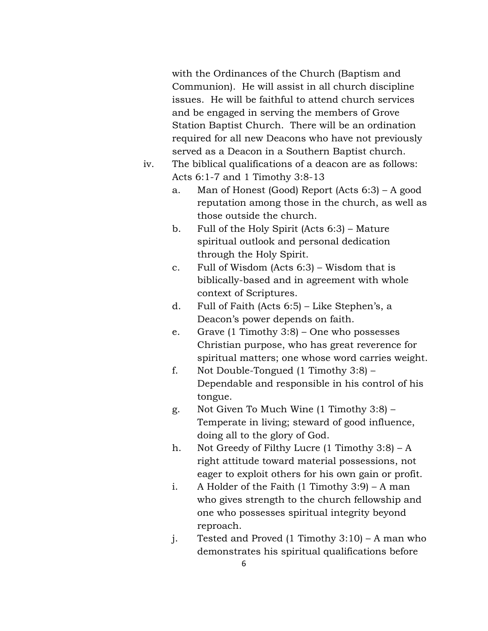with the Ordinances of the Church (Baptism and Communion). He will assist in all church discipline issues. He will be faithful to attend church services and be engaged in serving the members of Grove Station Baptist Church. There will be an ordination required for all new Deacons who have not previously served as a Deacon in a Southern Baptist church.

- iv. The biblical qualifications of a deacon are as follows: Acts 6:1-7 and 1 Timothy 3:8-13
	- a. Man of Honest (Good) Report (Acts 6:3) A good reputation among those in the church, as well as those outside the church.
	- b. Full of the Holy Spirit (Acts 6:3) Mature spiritual outlook and personal dedication through the Holy Spirit.
	- c. Full of Wisdom (Acts 6:3) Wisdom that is biblically-based and in agreement with whole context of Scriptures.
	- d. Full of Faith (Acts 6:5) Like Stephen's, a Deacon's power depends on faith.
	- e. Grave (1 Timothy 3:8) One who possesses Christian purpose, who has great reverence for spiritual matters; one whose word carries weight.
	- f. Not Double-Tongued (1 Timothy 3:8) Dependable and responsible in his control of his tongue.
	- g. Not Given To Much Wine (1 Timothy 3:8) Temperate in living; steward of good influence, doing all to the glory of God.
	- h. Not Greedy of Filthy Lucre  $(1$  Timothy  $3:8$ ) A right attitude toward material possessions, not eager to exploit others for his own gain or profit.
	- i. A Holder of the Faith (1 Timothy 3:9) A man who gives strength to the church fellowship and one who possesses spiritual integrity beyond reproach.
	- j. Tested and Proved (1 Timothy 3:10) A man who demonstrates his spiritual qualifications before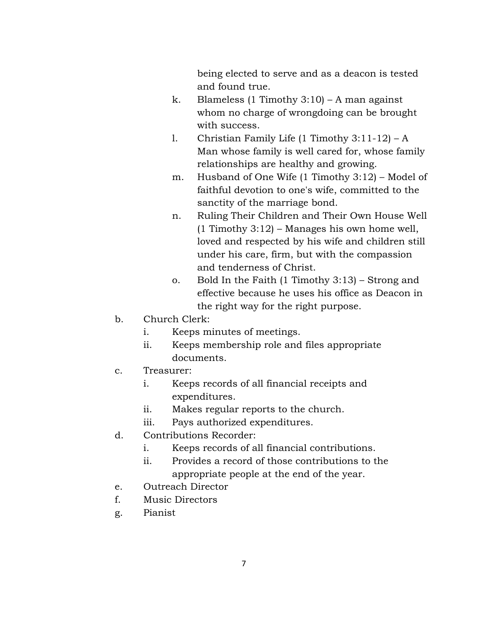being elected to serve and as a deacon is tested and found true.

- k. Blameless (1 Timothy  $3:10$ ) A man against whom no charge of wrongdoing can be brought with success.
- l. Christian Family Life (1 Timothy 3:11-12) A Man whose family is well cared for, whose family relationships are healthy and growing.
- m. Husband of One Wife (1 Timothy 3:12) Model of faithful devotion to one's wife, committed to the sanctity of the marriage bond.
- n. Ruling Their Children and Their Own House Well (1 Timothy 3:12) – Manages his own home well, loved and respected by his wife and children still under his care, firm, but with the compassion and tenderness of Christ.
- o. Bold In the Faith (1 Timothy 3:13) Strong and effective because he uses his office as Deacon in the right way for the right purpose.
- b. Church Clerk:
	- i. Keeps minutes of meetings.
	- ii. Keeps membership role and files appropriate documents.
- c. Treasurer:
	- i. Keeps records of all financial receipts and expenditures.
	- ii. Makes regular reports to the church.
	- iii. Pays authorized expenditures.
- d. Contributions Recorder:
	- i. Keeps records of all financial contributions.
	- ii. Provides a record of those contributions to the appropriate people at the end of the year.
- e. Outreach Director
- f. Music Directors
- g. Pianist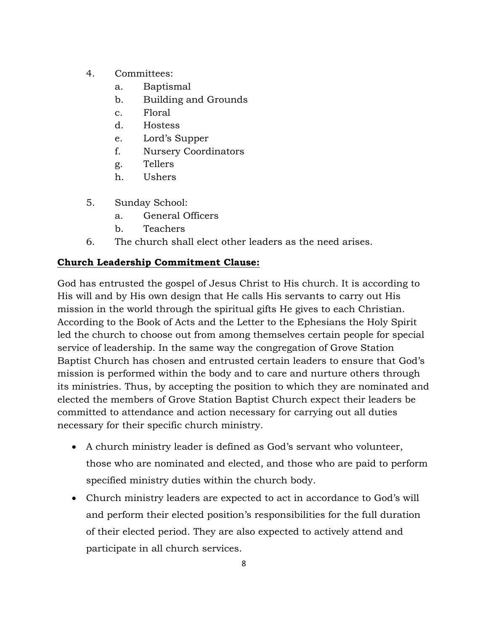- 4. Committees:
	- a. Baptismal
	- b. Building and Grounds
	- c. Floral
	- d. Hostess
	- e. Lord's Supper
	- f. Nursery Coordinators
	- g. Tellers
	- h. Ushers
- 5. Sunday School:
	- a. General Officers
	- b. Teachers
- 6. The church shall elect other leaders as the need arises.

# **Church Leadership Commitment Clause:**

God has entrusted the gospel of Jesus Christ to His church. It is according to His will and by His own design that He calls His servants to carry out His mission in the world through the spiritual gifts He gives to each Christian. According to the Book of Acts and the Letter to the Ephesians the Holy Spirit led the church to choose out from among themselves certain people for special service of leadership. In the same way the congregation of Grove Station Baptist Church has chosen and entrusted certain leaders to ensure that God's mission is performed within the body and to care and nurture others through its ministries. Thus, by accepting the position to which they are nominated and elected the members of Grove Station Baptist Church expect their leaders be committed to attendance and action necessary for carrying out all duties necessary for their specific church ministry.

- A church ministry leader is defined as God's servant who volunteer, those who are nominated and elected, and those who are paid to perform specified ministry duties within the church body.
- Church ministry leaders are expected to act in accordance to God's will and perform their elected position's responsibilities for the full duration of their elected period. They are also expected to actively attend and participate in all church services.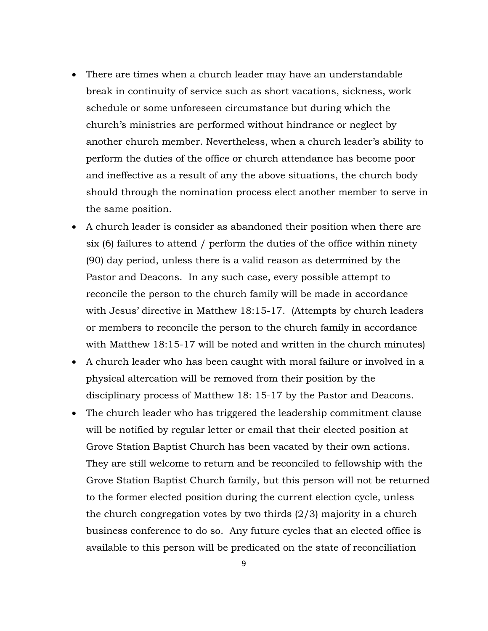- There are times when a church leader may have an understandable break in continuity of service such as short vacations, sickness, work schedule or some unforeseen circumstance but during which the church's ministries are performed without hindrance or neglect by another church member. Nevertheless, when a church leader's ability to perform the duties of the office or church attendance has become poor and ineffective as a result of any the above situations, the church body should through the nomination process elect another member to serve in the same position.
- A church leader is consider as abandoned their position when there are six (6) failures to attend / perform the duties of the office within ninety (90) day period, unless there is a valid reason as determined by the Pastor and Deacons. In any such case, every possible attempt to reconcile the person to the church family will be made in accordance with Jesus' directive in Matthew 18:15-17. (Attempts by church leaders or members to reconcile the person to the church family in accordance with Matthew 18:15-17 will be noted and written in the church minutes)
- A church leader who has been caught with moral failure or involved in a physical altercation will be removed from their position by the disciplinary process of Matthew 18: 15-17 by the Pastor and Deacons.
- The church leader who has triggered the leadership commitment clause will be notified by regular letter or email that their elected position at Grove Station Baptist Church has been vacated by their own actions. They are still welcome to return and be reconciled to fellowship with the Grove Station Baptist Church family, but this person will not be returned to the former elected position during the current election cycle, unless the church congregation votes by two thirds (2/3) majority in a church business conference to do so. Any future cycles that an elected office is available to this person will be predicated on the state of reconciliation